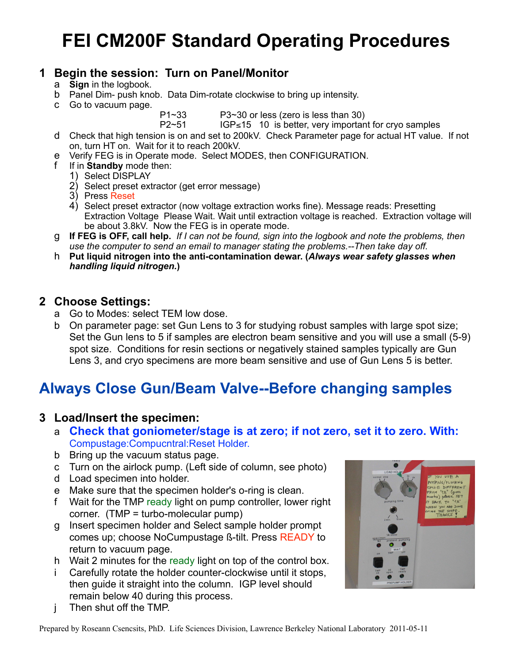# **FEI CM200F Standard Operating Procedures**

#### **1 Begin the session: Turn on Panel/Monitor**

- a **Sign** in the logbook.
- b Panel Dim- push knob. Data Dim-rotate clockwise to bring up intensity.
- c Go to vacuum page.

P1~33 P3~30 or less (zero is less than 30)

P2~51 IGP≤15 10 is better, very important for cryo samples

- d Check that high tension is on and set to 200kV. Check Parameter page for actual HT value. If not on, turn HT on. Wait for it to reach 200kV.
- e Verify FEG is in Operate mode. Select MODES, then CONFIGURATION.
	- f If in **Standby** mode then:
		- 1) Select DISPLAY
		- 2) Select preset extractor (get error message)
		- 3) Press Reset
		- 4) Select preset extractor (now voltage extraction works fine). Message reads: Presetting Extraction Voltage Please Wait. Wait until extraction voltage is reached. Extraction voltage will be about 3.8kV. Now the FEG is in operate mode.
- g **If FEG is OFF, call help.** *If I can not be found, sign into the logbook and note the problems, then use the computer to send an email to manager stating the problems.--Then take day off.*
- h **Put liquid nitrogen into the anti-contamination dewar. (***Always wear safety glasses when handling liquid nitrogen.***)**

#### **2 Choose Settings:**

- a Go to Modes: select TEM low dose.
- b On parameter page: set Gun Lens to 3 for studying robust samples with large spot size; Set the Gun lens to 5 if samples are electron beam sensitive and you will use a small (5-9) spot size. Conditions for resin sections or negatively stained samples typically are Gun Lens 3, and cryo specimens are more beam sensitive and use of Gun Lens 5 is better.

## **Always Close Gun/Beam Valve--Before changing samples**

#### **3 Load/Insert the specimen:**

- a **Check that goniometer/stage is at zero; if not zero, set it to zero. With:**  Compustage:Compucntral:Reset Holder.
- b Bring up the vacuum status page.
- c Turn on the airlock pump. (Left side of column, see photo)
- d Load specimen into holder.
- e Make sure that the specimen holder's o-ring is clean.
- f Wait for the TMP ready light on pump controller, lower right corner. (TMP = turbo-molecular pump)
- g Insert specimen holder and Select sample holder prompt comes up; choose NoCumpustage ß-tilt. Press READY to return to vacuum page.
- h Wait 2 minutes for the ready light on top of the control box.
- i Carefully rotate the holder counter-clockwise until it stops, then guide it straight into the column. IGP level should remain below 40 during this process.
- j Then shut off the TMP.

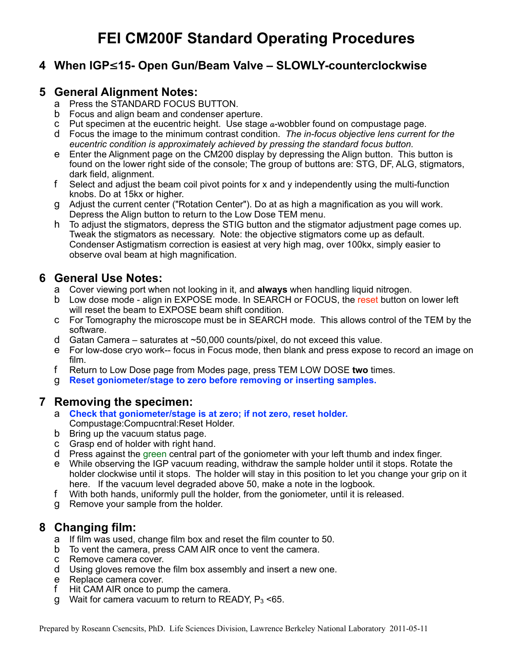### **4 When IGP**≤**15- Open Gun/Beam Valve – SLOWLY-counterclockwise**

#### **5 General Alignment Notes:**

- a Press the STANDARD FOCUS BUTTON.
- b Focus and align beam and condenser aperture.
- c Put specimen at the eucentric height. Use stage  $a$ -wobbler found on compustage page.
- d Focus the image to the minimum contrast condition. *The in-focus objective lens current for the eucentric condition is approximately achieved by pressing the standard focus button.*
- e Enter the Alignment page on the CM200 display by depressing the Align button. This button is found on the lower right side of the console; The group of buttons are: STG, DF, ALG, stigmators, dark field, alignment.
- f Select and adjust the beam coil pivot points for x and y independently using the multi-function knobs. Do at 15kx or higher.
- g Adjust the current center ("Rotation Center"). Do at as high a magnification as you will work. Depress the Align button to return to the Low Dose TEM menu.
- h To adjust the stigmators, depress the STIG button and the stigmator adjustment page comes up. Tweak the stigmators as necessary. Note: the objective stigmators come up as default. Condenser Astigmatism correction is easiest at very high mag, over 100kx, simply easier to observe oval beam at high magnification.

#### **6 General Use Notes:**

- a Cover viewing port when not looking in it, and **always** when handling liquid nitrogen.
- b Low dose mode align in EXPOSE mode. In SEARCH or FOCUS, the reset button on lower left will reset the beam to EXPOSE beam shift condition.
- c For Tomography the microscope must be in SEARCH mode. This allows control of the TEM by the software.
- d Gatan Camera saturates at ~50,000 counts/pixel, do not exceed this value.
- e For low-dose cryo work-- focus in Focus mode, then blank and press expose to record an image on film.
- f Return to Low Dose page from Modes page, press TEM LOW DOSE **two** times.
- g **Reset goniometer/stage to zero before removing or inserting samples.**

#### **7 Removing the specimen:**

- a **Check that goniometer/stage is at zero; if not zero, reset holder.**  Compustage:Compucntral:Reset Holder.
- b Bring up the vacuum status page.
- c Grasp end of holder with right hand.
- d Press against the green central part of the goniometer with your left thumb and index finger.
- e While observing the IGP vacuum reading, withdraw the sample holder until it stops. Rotate the holder clockwise until it stops. The holder will stay in this position to let you change your grip on it here. If the vacuum level degraded above 50, make a note in the logbook.
- f With both hands, uniformly pull the holder, from the goniometer, until it is released.
- g Remove your sample from the holder.

#### **8 Changing film:**

- a If film was used, change film box and reset the film counter to 50.
- b To vent the camera, press CAM AIR once to vent the camera.
- c Remove camera cover.
- d Using gloves remove the film box assembly and insert a new one.
- e Replace camera cover.
- f Hit CAM AIR once to pump the camera.
- g Wait for camera vacuum to return to READY,  $P_3$  <65.